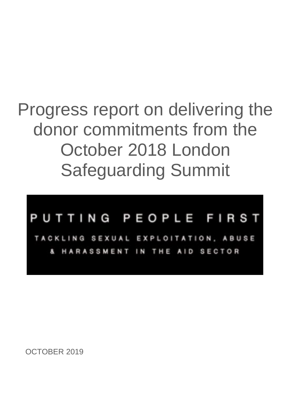## Progress report on delivering the donor commitments from the October 2018 London Safeguarding Summit

## PUTTING PEOPLE FIRST

NG SEXUAL EXPLOITATION, ABUSE ASSMENT IN THE AID SECTOR

OCTOBER 2019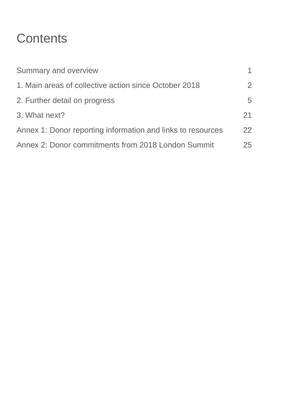## **Contents**

| Summary and overview                                        |    |
|-------------------------------------------------------------|----|
| 1. Main areas of collective action since October 2018       | 2  |
| 2. Further detail on progress                               | 5  |
| 3. What next?                                               | 21 |
| Annex 1: Donor reporting information and links to resources | 22 |
| Annex 2: Donor commitments from 2018 London Summit          | 25 |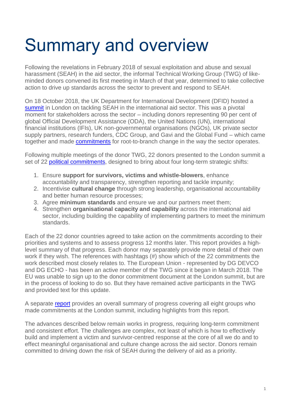# Summary and overview

Following the revelations in February 2018 of sexual exploitation and abuse and sexual harassment (SEAH) in the aid sector, the informal Technical Working Group (TWG) of likeminded donors convened its first meeting in March of that year, determined to take collective action to drive up standards across the sector to prevent and respond to SEAH.

On 18 October 2018, the UK Department for International Development (DFID) hosted a [summit](https://www.gov.uk/government/topical-events/safeguarding-summit-2018) in London on tackling SEAH in the international aid sector. This was a pivotal moment for stakeholders across the sector – including donors representing 90 per cent of global Official Development Assistance (ODA), the United Nations (UN), international financial institutions (IFIs), UK non-governmental organisations (NGOs), UK private sector supply partners, research funders, CDC Group, and Gavi and the Global Fund – which came together and made [commitments](https://www.gov.uk/government/collections/safeguarding-summit-commitments) for root-to-branch change in the way the sector operates.

Following multiple meetings of the donor TWG, 22 donors presented to the London summit a set of 22 [political commitments,](https://assets.publishing.service.gov.uk/government/uploads/system/uploads/attachment_data/file/749632/donor-commitments1.pdf) designed to bring about four long-term strategic shifts:

- 1. Ensure **support for survivors, victims and whistle-blowers**, enhance accountability and transparency, strengthen reporting and tackle impunity;
- 2. Incentivise **cultural change** through strong leadership, organisational accountability and better human resource processes;
- 3. Agree **minimum standards** and ensure we and our partners meet them;
- 4. Strengthen **organisational capacity and capability** across the international aid sector, including building the capability of implementing partners to meet the minimum standards.

Each of the 22 donor countries agreed to take action on the commitments according to their priorities and systems and to assess progress 12 months later. This report provides a highlevel summary of that progress. Each donor may separately provide more detail of their own work if they wish. The references with hashtags (#) show which of the 22 commitments the work described most closely relates to. The European Union - represented by DG DEVCO and DG ECHO - has been an active member of the TWG since it began in March 2018. The EU was unable to sign up to the donor commitment document at the London summit, but are in the process of looking to do so. But they have remained active participants in the TWG and provided text for this update.

A separate [report](https://www.gov.uk/government/publications/safeguarding-summit-one-year-on-progress-reports) provides an overall summary of progress covering all eight groups who made commitments at the London summit, including highlights from this report.

The advances described below remain works in progress, requiring long-term commitment and consistent effort. The challenges are complex, not least of which is how to effectively build and implement a victim and survivor-centred response at the core of all we do and to effect meaningful organisational and culture change across the aid sector. Donors remain committed to driving down the risk of SEAH during the delivery of aid as a priority.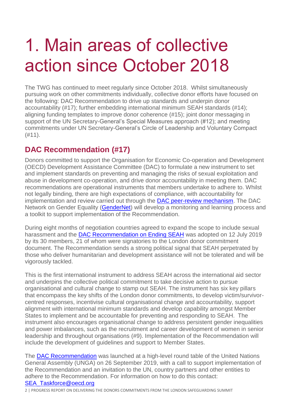# 1. Main areas of collective action since October 2018

The TWG has continued to meet regularly since October 2018. Whilst simultaneously pursuing work on other commitments individually, collective donor efforts have focused on the following: DAC Recommendation to drive up standards and underpin donor accountability (#17); further embedding international minimum SEAH standards (#14); aligning funding templates to improve donor coherence (#15); joint donor messaging in support of the UN Secretary-General's Special Measures approach (#12); and meeting commitments under UN Secretary-General's Circle of Leadership and Voluntary Compact  $(H11).$ 

## **DAC Recommendation (#17)**

Donors committed to support the Organisation for Economic Co-operation and Development (OECD) Development Assistance Committee (DAC) to formulate a new instrument to set and implement standards on preventing and managing the risks of sexual exploitation and abuse in development co-operation, and drive donor accountability in meeting them. DAC recommendations are operational instruments that members undertake to adhere to. Whilst not legally binding, there are high expectations of compliance, with accountability for implementation and review carried out through the [DAC peer-review mechanism.](https://www.oecd.org/dac/peer-reviews/) The DAC Network on Gender Equality [\(GenderNet\)](https://eur02.safelinks.protection.outlook.com/?url=http%3A%2F%2Fwww.oecd.org%2Fdac%2Fgender-development%2Fabout-gendernet.htm&data=02%7C01%7Cms-thompson%40dfid.gov.uk%7Ccc822ad0eacb468079de08d748a08b3a%7Ccdf709af1a184c74bd936d14a64d73b3%7C0%7C0%7C637057726685430439&sdata=WEF2CjKPn4BN4dsE1F13QgFea21JZKXZcOaZQElA%2FXc%3D&reserved=0) will develop a monitoring and learning process and a toolkit to support implementation of the Recommendation.

During eight months of negotiation countries agreed to expand the scope to include sexual harassment and the [DAC Recommendation on Ending SEAH](https://eur02.safelinks.protection.outlook.com/?url=https%3A%2F%2Flegalinstruments.oecd.org%2Fen%2Finstruments%2FOECD-LEGAL-5020&data=02%7C01%7CP-Taylor%40dfid.gsx.gov.uk%7C9ca5c6e94718485ed15308d70789fa32%7Ccdf709af1a184c74bd936d14a64d73b3%7C0%7C0%7C636986161493292085&sdata=APMNscr8kw9DkWq5gDm2C2FrgiyMlhmtwtHAs0fkJsA%3D&reserved=0) was adopted on 12 July 2019 by its 30 members, 21 of whom were signatories to the London donor commitment document. The Recommendation sends a strong political signal that SEAH perpetrated by those who deliver humanitarian and development assistance will not be tolerated and will be vigorously tackled.

This is the first international instrument to address SEAH across the international aid sector and underpins the collective political commitment to take decisive action to pursue organisational and cultural change to stamp out SEAH. The instrument has six key pillars that encompass the key shifts of the London donor commitments, to develop victim/survivorcentred responses, incentivise cultural organisational change and accountability, support alignment with international minimum standards and develop capability amongst Member States to implement and be accountable for preventing and responding to SEAH. The instrument also encourages organisational change to address persistent gender inequalities and power imbalances, such as the recruitment and career development of women in senior leadership and throughout organisations (#9). Implementation of the Recommendation will include the development of guidelines and support to Member States.

The [DAC Recommendation](https://eur02.safelinks.protection.outlook.com/?url=http%3A%2F%2Fwww.oecd.org%2Fdac%2Fgender-development%2Fdac-recommendation-on-ending-sexual-exploitation-abuse-and-harassment.htm&data=02%7C01%7Cms-thompson%40dfid.gov.uk%7C09d6be08373346155cb208d748ab7c35%7Ccdf709af1a184c74bd936d14a64d73b3%7C0%7C0%7C637057773668475253&sdata=QmnPHQ%2BS9XGq4P1K7nCv91dZgzJdKpA%2BtWfS9Iue3%2FI%3D&reserved=0) was launched at a high-level round table of the United Nations General Assembly (UNGA) on 26 September 2019, with a call to support implementation of the Recommendation and an invitation to the UN, country partners and other entities to *adhere* to the Recommendation. For information on how to do this contact: [SEA\\_Taskforce@oecd.org](mailto:SEA_Taskforce@oecd.org)

2 | PROGRESS REPORT ON DELIVERING THE DONORS COMMITMENTS FROM THE LONDON SAFEGUARDING SUMMIT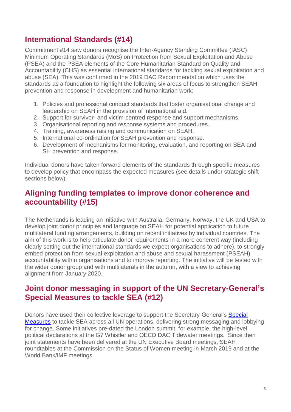## **International Standards (#14)**

Commitment #14 saw donors recognise the Inter-Agency Standing Committee (IASC) Minimum Operating Standards (MoS) on Protection from Sexual Exploitation and Abuse (PSEA) and the PSEA elements of the Core Humanitarian Standard on Quality and Accountability (CHS) as essential international standards for tackling sexual exploitation and abuse (SEA). This was confirmed in the 2019 DAC Recommendation which uses the standards as a foundation to highlight the following six areas of focus to strengthen SEAH prevention and response in development and humanitarian work:

- 1. Policies and professional conduct standards that foster organisational change and leadership on SEAH in the provision of international aid.
- 2. Support for survivor- and victim-centred response and support mechanisms.
- 3. Organisational reporting and response systems and procedures.
- 4. Training, awareness raising and communication on SEAH.
- 5. International co-ordination for SEAH prevention and response.
- 6. Development of mechanisms for monitoring, evaluation, and reporting on SEA and SH prevention and response.

Individual donors have taken forward elements of the standards through specific measures to develop policy that encompass the expected measures (see details under strategic shift sections below).

## **Aligning funding templates to improve donor coherence and accountability (#15)**

The Netherlands is leading an initiative with Australia, Germany, Norway, the UK and USA to develop joint donor principles and language on SEAH for potential application to future multilateral funding arrangements, building on recent initiatives by individual countries. The aim of this work is to help articulate donor requirements in a more coherent way (including clearly setting out the international standards we expect organisations to adhere), to strongly embed protection from sexual exploitation and abuse and sexual harassment (PSEAH) accountability within organisations and to improve reporting. The initiative will be tested with the wider donor group and with multilaterals in the autumn, with a view to achieving alignment from January 2020.

## **Joint donor messaging in support of the UN Secretary-General's Special Measures to tackle SEA (#12)**

Donors have used their collective leverage to support the Secretary-General's Special [Measures](https://undocs.org/A/71/818) to tackle SEA across all UN operations, delivering strong messaging and lobbying for change. Some initiatives pre-dated the London summit, for example, the high-level political declarations at the G7 Whistler and OECD DAC Tidewater meetings. Since then joint statements have been delivered at the UN Executive Board meetings, SEAH roundtables at the Commission on the Status of Women meeting in March 2019 and at the World Bank/IMF meetings.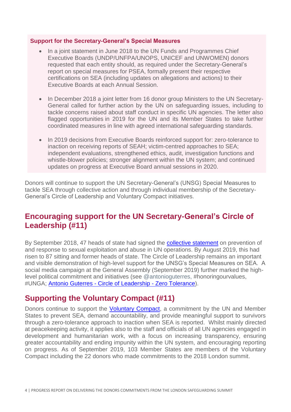#### **Support for the Secretary-General's Special Measures**

- In a joint statement in June 2018 to the UN Funds and Programmes Chief Executive Boards (UNDP/UNFPA/UNOPS, UNICEF and UNWOMEN) donors requested that each entity should, as required under the Secretary-General's report on special measures for PSEA, formally present their respective certifications on SEA (including updates on allegations and actions) to their Executive Boards at each Annual Session.
- In December 2018 a joint letter from 16 donor group Ministers to the UN Secretary-General called for further action by the UN on safeguarding issues, including to tackle concerns raised about staff conduct in specific UN agencies. The letter also flagged opportunities in 2019 for the UN and its Member States to take further coordinated measures in line with agreed international safeguarding standards.
- In 2019 decisions from Executive Boards reinforced support for: zero-tolerance to inaction on receiving reports of SEAH; victim-centred approaches to SEA; independent evaluations, strengthened ethics, audit, investigation functions and whistle-blower policies; stronger alignment within the UN system; and continued updates on progress at Executive Board annual sessions in 2020.

Donors will continue to support the UN Secretary-General's (UNSG) Special Measures to tackle SEA through collective action and through individual membership of the Secretary-General's Circle of Leadership and Voluntary Compact initiatives.

## **Encouraging support for the UN Secretary-General's Circle of Leadership (#11)**

By September 2018, 47 heads of state had signed the **collective statement** on prevention of and response to sexual exploitation and abuse in UN operations. By August 2019, this had risen to 87 sitting and former heads of state. The Circle of Leadership remains an important and visible demonstration of high-level support for the UNSG's Special Measures on SEA. A social media campaign at the General Assembly (September 2019) further marked the highlevel political commitment and initiatives (see @antonioguterres, #honoringourvalues, #UNGA; Antonio Guterres - [Circle of Leadership -](https://twitter.com/i/status/1176465902465929218) Zero Tolerance).

## **Supporting the Voluntary Compact (#11)**

Donors continue to support the [Voluntary Compact,](https://www.un.org/preventing-sexual-exploitation-and-abuse/content/voluntary-compact) a commitment by the UN and Member States to prevent SEA, demand accountability, and provide meaningful support to survivors through a zero-tolerance approach to inaction when SEA is reported. Whilst mainly directed at peacekeeping activity, it applies also to the staff and officials of all UN agencies engaged in development and humanitarian work, with a focus on increasing transparency, ensuring greater accountability and ending impunity within the UN system, and encouraging reporting on progress. As of September 2019, 103 Member States are members of the Voluntary Compact including the 22 donors who made commitments to the 2018 London summit.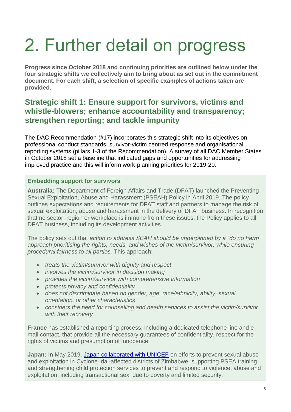# 2. Further detail on progress

**Progress since October 2018 and continuing priorities are outlined below under the four strategic shifts we collectively aim to bring about as set out in the commitment document. For each shift, a selection of specific examples of actions taken are provided.**

## **Strategic shift 1: Ensure support for survivors, victims and whistle-blowers; enhance accountability and transparency; strengthen reporting; and tackle impunity**

The DAC Recommendation (#17) incorporates this strategic shift into its objectives on professional conduct standards, survivor-victim centred response and organisational reporting systems (pillars 1-3 of the Recommendation). A survey of all DAC Member States in October 2018 set a baseline that indicated gaps and opportunities for addressing improved practice and this will inform work-planning priorities for 2019-20.

## **Embedding support for survivors**

**Australia:** The Department of Foreign Affairs and Trade (DFAT) launched the Preventing Sexual Exploitation, Abuse and Harassment (PSEAH) Policy in April 2019. The policy outlines expectations and requirements for DFAT staff and partners to manage the risk of sexual exploitation, abuse and harassment in the delivery of DFAT business. In recognition that no sector, region or workplace is immune from these issues, the Policy applies to all DFAT business, including its development activities.

The policy sets out that *action to address SEAH should be underpinned by a "do no harm" approach prioritising the rights, needs, and wishes of the victim/survivor, while ensuring procedural fairness to all parties.* This approach:

- *treats the victim/survivor with dignity and respect*
- *involves the victim/survivor in decision making*
- *provides the victim/survivor with comprehensive information*
- *protects privacy and confidentiality*
- *does not discriminate based on gender, age, race/ethnicity, ability, sexual orientation, or other characteristics*
- *considers the need for counselling and health services to assist the victim/survivor with their recovery .*

**France** has established a reporting process, including a dedicated telephone line and email contact, that provide all the necessary guarantees of confidentiality, respect for the rights of victims and presumption of innocence.

**Japan:** In May 2019, [Japan collaborated with UNICEF](https://www.unicef.org/tokyo/jp/15406_28236.html) on efforts to prevent sexual abuse and exploitation in Cyclone Idai-affected districts of Zimbabwe, supporting PSEA training and strengthening child protection services to prevent and respond to violence, abuse and exploitation, including transactional sex, due to poverty and limited security.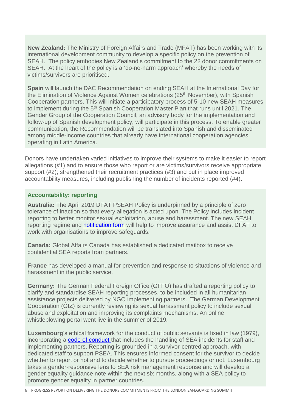**New Zealand:** The Ministry of Foreign Affairs and Trade (MFAT) has been working with its international development community to develop a specific policy on the prevention of SEAH. The policy embodies New Zealand's commitment to the 22 donor commitments on SEAH. At the heart of the policy is a 'do-no-harm approach' whereby the needs of victims/survivors are prioritised.

**Spain** will launch the DAC Recommendation on ending SEAH at the International Day for the Elimination of Violence Against Women celebrations (25<sup>th</sup> November), with Spanish Cooperation partners. This will initiate a participatory process of 5-10 new SEAH measures to implement during the 5<sup>th</sup> Spanish Cooperation Master Plan that runs until 2021. The Gender Group of the Cooperation Council, an advisory body for the implementation and follow-up of Spanish development policy, will participate in this process. To enable greater communication, the Recommendation will be translated into Spanish and disseminated among middle-income countries that already have international cooperation agencies operating in Latin America.

Donors have undertaken varied initiatives to improve their systems to make it easier to report allegations (#1) and to ensure those who report or are victims/survivors receive appropriate support (#2); strengthened their recruitment practices (#3) and put in place improved accountability measures, including publishing the number of incidents reported (#4).

## **Accountability: reporting**

**Australia:** The April 2019 DFAT PSEAH Policy is underpinned by a principle of zero tolerance of inaction so that every allegation is acted upon. The Policy includes incident reporting to better monitor sexual exploitation, abuse and harassment. The new SEAH reporting regime and [notification form w](https://dfat.gov.au/international-relations/themes/preventing-sexual-exploitation-abuse-and-harassment/Documents/seah-incident-notification-form.docx)ill help to improve assurance and assist DFAT to work with organisations to improve safeguards.

**Canada:** Global Affairs Canada has established a dedicated mailbox to receive confidential SEA reports from partners.

**France** has developed a manual for prevention and response to situations of violence and harassment in the public service.

**Germany:** The German Federal Foreign Office (GFFO) has drafted a reporting policy to clarify and standardise SEAH reporting processes, to be included in all humanitarian assistance projects delivered by NGO implementing partners. The German Development Cooperation (GIZ) is currently reviewing its sexual harassment policy to include sexual abuse and exploitation and improving its complaints mechanisms. An online whistleblowing portal went live in the summer of 2019.

**Luxembourg**'s ethical framework for the conduct of public servants is fixed in law (1979), incorporating a [code of conduct](https://eur02.safelinks.protection.outlook.com/?url=http%3A%2F%2Fdata.legilux.public.lu%2Ffile%2Feli-etat-leg-code-fonction_publique-20161225-fr-pdf.pdf&data=02%7C01%7Cms-thompson%40dfid.gov.uk%7C71a9d2c4d56b4e307f4e08d7481832e3%7Ccdf709af1a184c74bd936d14a64d73b3%7C0%7C1%7C637057141947515028&sdata=NDyu2y8G%2B%2FimoKQCqXX8vMLYxvpmBzxcbSQAWpQj1FY%3D&reserved=0) that includes the handling of SEA incidents for staff and implementing partners. Reporting is grounded in a survivor-centred approach, with dedicated staff to support PSEA. This ensures informed consent for the survivor to decide whether to report or not and to decide whether to pursue proceedings or not. Luxembourg takes a gender-responsive lens to SEA risk management response and will develop a gender equality guidance note within the next six months, along with a SEA policy to promote gender equality in partner countries.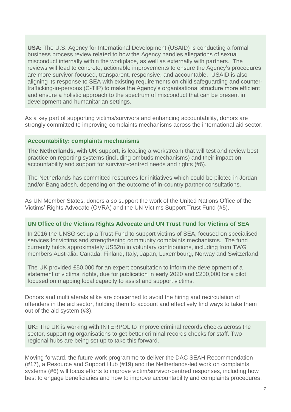**USA:** The U.S. Agency for International Development (USAID) is conducting a formal business process review related to how the Agency handles allegations of sexual misconduct internally within the workplace, as well as externally with partners. The reviews will lead to concrete, actionable improvements to ensure the Agency's procedures are more survivor-focused, transparent, responsive, and accountable. USAID is also aligning its response to SEA with existing requirements on child safeguarding and countertrafficking-in-persons (C-TIP) to make the Agency's organisational structure more efficient and ensure a holistic approach to the spectrum of misconduct that can be present in development and humanitarian settings.

As a key part of supporting victims/survivors and enhancing accountability, donors are strongly committed to improving complaints mechanisms across the international aid sector.

### **Accountability: complaints mechanisms**

**The Netherlands**, with **UK** support, is leading a workstream that will test and review best practice on reporting systems (including ombuds mechanisms) and their impact on accountability and support for survivor-centred needs and rights (#6).

The Netherlands has committed resources for initiatives which could be piloted in Jordan and/or Bangladesh, depending on the outcome of in-country partner consultations.

As UN Member States, donors also support the work of the United Nations Office of the Victims' Rights Advocate (OVRA) and the UN Victims Support Trust Fund (#5).

### **UN Office of the Victims Rights Advocate and UN Trust Fund for Victims of SEA**

In 2016 the UNSG set up a Trust Fund to support victims of SEA, focused on specialised services for victims and strengthening community complaints mechanisms. The fund currently holds approximately US\$2m in voluntary contributions, including from TWG members Australia, Canada, Finland, Italy, Japan, Luxembourg, Norway and Switzerland.

The UK provided £50,000 for an expert consultation to inform the development of a statement of victims' rights, due for publication in early 2020 and £200,000 for a pilot focused on mapping local capacity to assist and support victims.

Donors and multilaterals alike are concerned to avoid the hiring and recirculation of offenders in the aid sector, holding them to account and effectively find ways to take them out of the aid system (#3).

**UK:** The UK is working with INTERPOL to improve criminal records checks across the sector, supporting organisations to get better criminal records checks for staff. Two regional hubs are being set up to take this forward.

Moving forward, the future work programme to deliver the DAC SEAH Recommendation (#17), a Resource and Support Hub (#19) and the Netherlands-led work on complaints systems (#6) will focus efforts to improve victim/survivor-centred responses, including how best to engage beneficiaries and how to improve accountability and complaints procedures.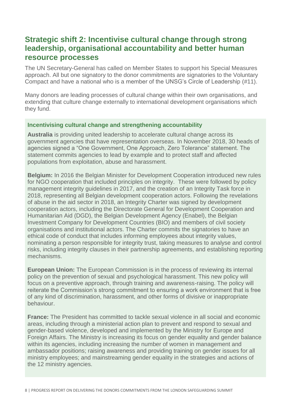## **Strategic shift 2: Incentivise cultural change through strong leadership, organisational accountability and better human resource processes**

The UN Secretary-General has called on Member States to support his Special Measures approach. All but one signatory to the donor commitments are signatories to the Voluntary Compact and have a national who is a member of the UNSG's Circle of Leadership (#11).

Many donors are leading processes of cultural change within their own organisations, and extending that culture change externally to international development organisations which they fund.

### **Incentivising cultural change and strengthening accountability**

**Australia** is providing united leadership to accelerate cultural change across its government agencies that have representation overseas. In November 2018, 30 heads of agencies signed a "One Government, One Approach, Zero Tolerance" statement. The statement commits agencies to lead by example and to protect staff and affected populations from exploitation, abuse and harassment.

**Belgium:** In 2016 the Belgian Minister for Development Cooperation introduced new rules for NGO cooperation that included principles on integrity. These were followed by policy management integrity guidelines in 2017, and the creation of an Integrity Task force in 2018, representing all Belgian development cooperation actors. Following the revelations of abuse in the aid sector in 2018, an Integrity Charter was signed by development cooperation actors, including the Directorate General for Development Cooperation and Humanitarian Aid (DGD), the Belgian Development Agency (Enabel), the Belgian Investment Company for Development Countries (BIO) and members of civil society organisations and institutional actors. The Charter commits the signatories to have an ethical code of conduct that includes informing employees about integrity values, nominating a person responsible for integrity trust, taking measures to analyse and control risks, including integrity clauses in their partnership agreements, and establishing reporting mechanisms.

**European Union:** The European Commission is in the process of reviewing its internal policy on the prevention of sexual and psychological harassment. This new policy will focus on a preventive approach, through training and awareness-raising. The policy will reiterate the Commission's strong commitment to ensuring a work environment that is free of any kind of discrimination, harassment, and other forms of divisive or inappropriate behaviour.

**France:** The President has committed to tackle sexual violence in all social and economic areas, including through a ministerial action plan to prevent and respond to sexual and gender-based violence, developed and implemented by the Ministry for Europe and Foreign Affairs. The Ministry is increasing its focus on gender equality and gender balance within its agencies, including increasing the number of women in management and ambassador positions; raising awareness and providing training on gender issues for all ministry employees; and mainstreaming gender equality in the strategies and actions of the 12 ministry agencies.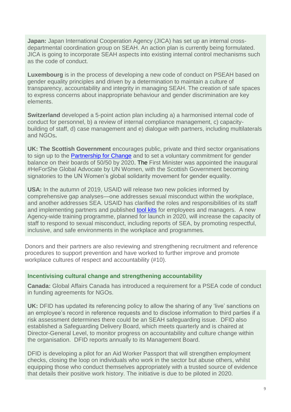**Japan:** Japan International Cooperation Agency (JICA) has set up an internal crossdepartmental coordination group on SEAH. An action plan is currently being formulated. JICA is going to incorporate SEAH aspects into existing internal control mechanisms such as the code of conduct.

**Luxembourg** is in the process of developing a new code of conduct on PSEAH based on gender equality principles and driven by a determination to maintain a culture of transparency, accountability and integrity in managing SEAH. The creation of safe spaces to express concerns about inappropriate behaviour and gender discrimination are key elements.

**Switzerland** developed a 5-point action plan including a) a harmonised internal code of conduct for personnel, b) a review of internal compliance management, c) capacitybuilding of staff, d) case management and e) dialogue with partners, including multilaterals and NGOs**.**

**UK: The Scottish Government** encourages public, private and third sector organisations to sign up to the [Partnership for Change](https://onescotland.org/equality-themes/5050-by-2020/) and to set a voluntary commitment for gender balance on their boards of 50/50 by 2020. The First Minister was appointed the inaugural #HeForShe Global Advocate by UN Women, with the Scottish Government becoming signatories to the UN Women's global solidarity movement for gender equality.

**USA:** In the autumn of 2019, USAID will release two new policies informed by comprehensive gap analyses—one addresses sexual misconduct within the workplace, and another addresses SEA. USAID has clarified the roles and responsibilities of its staff and implementing partners and published [tool kits](http://www.usaid.gov/PreventingSexualMisconduct) for employees and managers. A new Agency-wide training programme, planned for launch in 2020, will increase the capacity of staff to respond to sexual misconduct, including reports of SEA, by promoting respectful, inclusive, and safe environments in the workplace and programmes*.*

Donors and their partners are also reviewing and strengthening recruitment and reference procedures to support prevention and have worked to further improve and promote workplace cultures of respect and accountability (#10).

### **Incentivising cultural change and strengthening accountability**

**Canada:** Global Affairs Canada has introduced a requirement for a PSEA code of conduct in funding agreements for NGOs.

**UK:** DFID has updated its referencing policy to allow the sharing of any 'live' sanctions on an employee's record in reference requests and to disclose information to third parties if a risk assessment determines there could be an SEAH safeguarding issue. DFID also established a Safeguarding Delivery Board, which meets quarterly and is chaired at Director-General Level, to monitor progress on accountability and culture change within the organisation. DFID reports annually to its Management Board.

DFID is developing a pilot for an Aid Worker Passport that will strengthen employment checks, closing the loop on individuals who work in the sector but abuse others, whilst equipping those who conduct themselves appropriately with a trusted source of evidence that details their positive work history. The initiative is due to be piloted in 2020.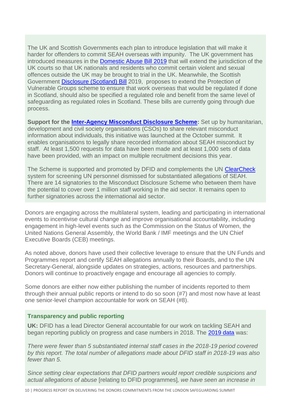The UK and Scottish Governments each plan to introduce legislation that will make it harder for offenders to commit SEAH overseas with impunity. The UK government has introduced measures in the [Domestic Abuse Bill 2019](https://assets.publishing.service.gov.uk/government/uploads/system/uploads/attachment_data/file/817449/Factsheet_-_ETJ_FINAL.pdf) that will extend the jurisdiction of the UK courts so that UK nationals and residents who commit certain violent and sexual offences outside the UK may be brought to trial in the UK. Meanwhile, the Scottish Government [Disclosure \(Scotland\) Bill](https://digitalpublications.parliament.scot/ResearchBriefings/Report/2019/8/30/The-Disclosure--Scotland--Bill) 2019, proposes to extend the Protection of Vulnerable Groups scheme to ensure that work overseas that would be regulated if done in Scotland, should also be specified a regulated role and benefit from the same level of safeguarding as regulated roles in Scotland. These bills are currently going through due process.

**Support for the [Inter-Agency Misconduct Disclosure Scheme:](https://www.schr.info/the-misconduct-disclosure-scheme)** Set up by humanitarian, development and civil society organisations (CSOs) to share relevant misconduct information about individuals, this initiative was launched at the October summit. It enables organisations to legally share recorded information about SEAH misconduct by staff. At least 1,500 requests for data have been made and at least 1,000 sets of data have been provided, with an impact on multiple recruitment decisions this year.

The Scheme is supported and promoted by DFID and complements the UN [ClearCheck](https://onehr.webflow.io/our-services-basic-reference-verification) system for screening UN personnel dismissed for substantiated allegations of SEAH. There are 14 signatories to the Misconduct Disclosure Scheme who between them have the potential to cover over 1 million staff working in the aid sector. It remains open to further signatories across the international aid sector.

Donors are engaging across the multilateral system, leading and participating in international events to incentivise cultural change and improve organisational accountability, including engagement in high-level events such as the Commission on the Status of Women, the United Nations General Assembly, the World Bank / IMF meetings and the UN Chief Executive Boards (CEB) meetings.

As noted above, donors have used their collective leverage to ensure that the UN Funds and Programmes report and certify SEAH allegations annually to their Boards, and to the UN Secretary-General, alongside updates on strategies, actions, resources and partnerships. Donors will continue to proactively engage and encourage all agencies to comply.

Some donors are either now either publishing the number of incidents reported to them through their annual public reports or intend to do so soon (#7) and most now have at least one senior-level champion accountable for work on SEAH (#8).

### **Transparency and public reporting**

**UK:** DFID has a lead Director General accountable for our work on tackling SEAH and began reporting publicly on progress and case numbers in 2018. The [2019 data](https://assets.publishing.service.gov.uk/government/uploads/system/uploads/attachment_data/file/815787/ARA-2019.pdf) was:

*There were fewer than 5 substantiated internal staff cases in the 2018-19 period covered by this report. The total number of allegations made about DFID staff in 2018-19 was also fewer than 5.*

*Since setting clear expectations that DFID partners would report credible suspicions and actual allegations of abuse* [relating to DFID programmes]*, we have seen an increase in*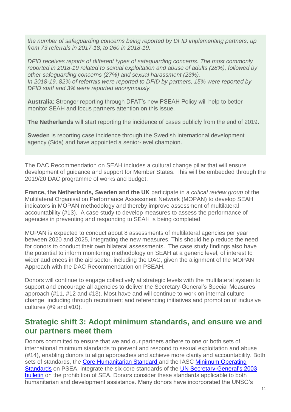*the number of safeguarding concerns being reported by DFID implementing partners, up from 73 referrals in 2017-18, to 260 in 2018-19.*

*DFID receives reports of different types of safeguarding concerns. The most commonly reported in 2018-19 related to sexual exploitation and abuse of adults (28%), followed by other safeguarding concerns (27%) and sexual harassment (23%). In 2018-19, 82% of referrals were reported to DFID by partners, 15% were reported by DFID staff and 3% were reported anonymously.*

**Australia**: Stronger reporting through DFAT's new PSEAH Policy will help to better monitor SEAH and focus partners attention on this issue.

**The Netherlands** will start reporting the incidence of cases publicly from the end of 2019.

**Sweden** is reporting case incidence through the Swedish international development agency (Sida) and have appointed a senior-level champion.

The DAC Recommendation on SEAH includes a cultural change pillar that will ensure development of guidance and support for Member States. This will be embedded through the 2019/20 DAC programme of works and budget.

**France, the Netherlands, Sweden and the UK** participate in a *critical review group* of the Multilateral Organisation Performance Assessment Network (MOPAN) to develop SEAH indicators in MOPAN methodology and thereby improve assessment of multilateral accountability (#13). A case study to develop measures to assess the performance of agencies in preventing and responding to SEAH is being completed.

MOPAN is expected to conduct about 8 assessments of multilateral agencies per year between 2020 and 2025, integrating the new measures. This should help reduce the need for donors to conduct their own bilateral assessments. The case study findings also have the potential to inform monitoring methodology on SEAH at a generic level, of interest to wider audiences in the aid sector, including the DAC, given the alignment of the MOPAN Approach with the DAC Recommendation on PSEAH.

Donors will continue to engage collectively at strategic levels with the multilateral system to support and encourage all agencies to deliver the Secretary-General's Special Measures approach (#11, #12 and #13). Most have and will continue to work on internal culture change, including through recruitment and referencing initiatives and promotion of inclusive cultures (#9 and #10).

## **Strategic shift 3: Adopt minimum standards, and ensure we and our partners meet them**

Donors committed to ensure that we and our partners adhere to one or both sets of international minimum standards to prevent and respond to sexual exploitation and abuse (#14), enabling donors to align approaches and achieve more clarity and accountability. Both sets of standards, the [Core Humanitarian Standard](https://corehumanitarianstandard.org/the-standard) and the IASC Minimum Operating [Standards](https://interagencystandingcommittee.org/system/files/3_minimum_operating_standards_mos-psea.pdf) on PSEA, integrate the six core standards of the UN Secretary-General's 2003 [bulletin](https://undocs.org/ST/SGB/2003/13) on the prohibition of SEA. Donors consider these standards applicable to both humanitarian and development assistance. Many donors have incorporated the UNSG's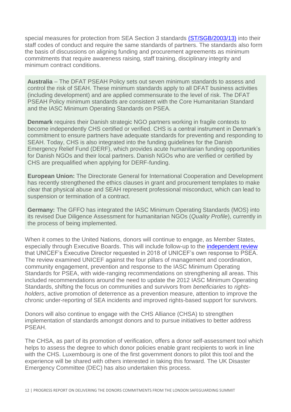special measures for protection from SEA Section 3 standards [\(ST/SGB/2003/13\)](https://undocs.org/ST/SGB/2003/13) into their staff codes of conduct and require the same standards of partners. The standards also form the basis of discussions on aligning funding and procurement agreements as minimum commitments that require awareness raising, staff training, disciplinary integrity and minimum contract conditions.

**Australia** – The DFAT PSEAH Policy sets out seven minimum standards to assess and control the risk of SEAH. These minimum standards apply to all DFAT business activities (including development) and are applied commensurate to the level of risk. The DFAT PSEAH Policy minimum standards are consistent with the Core Humanitarian Standard and the IASC Minimum Operating Standards on PSEA.

**Denmark** requires their Danish strategic NGO partners working in fragile contexts to become independently CHS certified or verified. CHS is a central instrument in Denmark's commitment to ensure partners have adequate standards for preventing and responding to SEAH. Today, CHS is also integrated into the funding guidelines for the Danish Emergency Relief Fund (DERF), which provides acute humanitarian funding opportunities for Danish NGOs and their local partners. Danish NGOs who are verified or certified by CHS are prequalified when applying for DERF-funding.

**European Union:** The Directorate General for International Cooperation and Development has recently strengthened the ethics clauses in grant and procurement templates to make clear that physical abuse and SEAH represent professional misconduct, which can lead to suspension or termination of a contract.

**Germany:** The GFFO has integrated the IASC Minimum Operating Standards (MOS) into its revised Due Diligence Assessment for humanitarian NGOs (*Quality Profile*), currently in the process of being implemented.

When it comes to the United Nations, donors will continue to engage, as Member States, especially through Executive Boards. This will include follow-up to the *independent review* that UNICEF's Executive Director requested in 2018 of UNICEF's own response to PSEA. The review examined UNICEF against the four pillars of management and coordination, community engagement, prevention and response to the IASC Minimum Operating Standards for PSEA, with wide-ranging recommendations on strengthening all areas. This included recommendations around the need to update the 2012 IASC Minimum Operating Standards, shifting the focus on communities and survivors from *beneficiaries* to *rightsholders*, active promotion of deterrence as a prevention measure, attention to improve the chronic under-reporting of SEA incidents and improved rights-based support for survivors.

Donors will also continue to engage with the CHS Alliance (CHSA) to strengthen implementation of standards amongst donors and to pursue initiatives to better address PSEAH.

The CHSA, as part of its promotion of verification, offers a donor self-assessment tool which helps to assess the degree to which donor policies enable grant recipients to work in line with the CHS. Luxembourg is one of the first government donors to pilot this tool and the experience will be shared with others interested in taking this forward. The UK Disaster Emergency Committee (DEC) has also undertaken this process.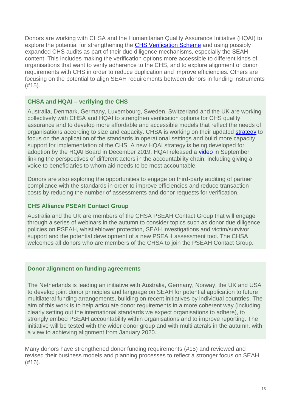Donors are working with CHSA and the Humanitarian Quality Assurance Initiative (HQAI) to explore the potential for strengthening the [CHS Verification Scheme](https://d1h79zlghft2zs.cloudfront.net/uploads/2019/07/CHS_Verification_Scheme_V7.pdf) and using possibly expanded CHS audits as part of their due diligence mechanisms, especially the SEAH content. This includes making the verification options more accessible to different kinds of organisations that want to verify adherence to the CHS, and to explore alignment of donor requirements with CHS in order to reduce duplication and improve efficiencies. Others are focusing on the potential to align SEAH requirements between donors in funding instruments (#15).

## **CHSA and HQAI – verifying the CHS**

Australia, Denmark, Germany, Luxembourg, Sweden, Switzerland and the UK are working collectively with CHSA and HQAI to strengthen verification options for CHS quality assurance and to develop more affordable and accessible models that reflect the needs of organisations according to size and capacity. CHSA is working on their updated [strategy](https://d1h79zlghft2zs.cloudfront.net/uploads/2019/07/CHS_Alliance-Strategy.pdf) to focus on the application of the standards in operational settings and build more capacity support for implementation of the CHS. A new HQAI strategy is being developed for adoption by the HQAI Board in December 2019. HQAI released a [video](https://www.youtube.com/watch?v=QrYiI1V16X8&feature=youtu.be) in September linking the perspectives of different actors in the accountability chain, including giving a voice to beneficiaries to whom aid needs to be most accountable.

Donors are also exploring the opportunities to engage on third-party auditing of partner compliance with the standards in order to improve efficiencies and reduce transaction costs by reducing the number of assessments and donor requests for verification.

## **CHS Alliance PSEAH Contact Group**

Australia and the UK are members of the CHSA PSEAH Contact Group that will engage through a series of webinars in the autumn to consider topics such as donor due diligence policies on PSEAH, whistleblower protection, SEAH investigations and victim/survivor support and the potential development of a new PSEAH assessment tool. The CHSA welcomes all donors who are members of the CHSA to join the PSEAH Contact Group.

## **Donor alignment on funding agreements**

The Netherlands is leading an initiative with Australia, Germany, Norway, the UK and USA to develop joint donor principles and language on SEAH for potential application to future multilateral funding arrangements, building on recent initiatives by individual countries. The aim of this work is to help articulate donor requirements in a more coherent way (including clearly setting out the international standards we expect organisations to adhere), to strongly embed PSEAH accountability within organisations and to improve reporting. The initiative will be tested with the wider donor group and with multilaterals in the autumn, with a view to achieving alignment from January 2020.

Many donors have strengthened donor funding requirements (#15) and reviewed and revised their business models and planning processes to reflect a stronger focus on SEAH (#16).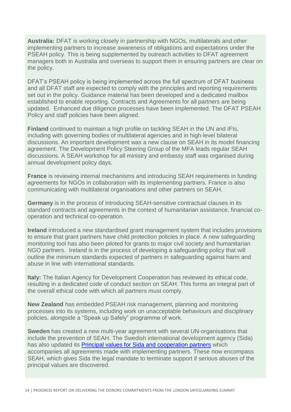**Australia:** DFAT is working closely in partnership with NGOs, multilaterals and other implementing partners to increase awareness of obligations and expectations under the PSEAH policy. This is being supplemented by outreach activities to DFAT agreement managers both in Australia and overseas to support them in ensuring partners are clear on the policy.

DFAT's PSEAH policy is being implemented across the full spectrum of DFAT business and all DFAT staff are expected to comply with the principles and reporting requirements set out in the policy. Guidance material has been developed and a dedicated mailbox established to enable reporting. Contracts and Agreements for all partners are being updated. Enhanced due diligence processes have been implemented. The DFAT PSEAH Policy and staff policies have been aligned.

**Finland** continued to maintain a high profile on tackling SEAH in the UN and IFIs, including with governing bodies of multilateral agencies and in high-level bilateral discussions. An important development was a new clause on SEAH in its model financing agreement. The Development Policy Steering Group of the MFA leads regular SEAH discussions. A SEAH workshop for all ministry and embassy staff was organised during annual development policy days.

**France** is reviewing internal mechanisms and introducing SEAH requirements in funding agreements for NGOs in collaboration with its implementing partners. France is also communicating with multilateral organisations and other partners on SEAH.

**Germany** is in the process of introducing SEAH-sensitive contractual clauses in its standard contracts and agreements in the context of humanitarian assistance, financial cooperation and technical co-operation.

**Ireland** introduced a new standardised grant management system that includes provisions to ensure that grant partners have child protection policies in place. A new safeguarding monitoring tool has also been piloted for grants to major civil society and humanitarian NGO partners. Ireland is in the process of developing a safeguarding policy that will outline the minimum standards expected of partners in safeguarding against harm and abuse in line with international standards.

**Italy:** The Italian Agency for Development Cooperation has reviewed its ethical code, resulting in a dedicated code of conduct section on SEAH. This forms an integral part of the overall ethical code with which all partners must comply.

**New Zealand** has embedded PSEAH risk management, planning and monitoring processes into its systems, including work on unacceptable behaviours and disciplinary policies, alongside a "Speak up Safely" programme of work.

**Sweden** has created a new multi-year agreement with several UN-organisations that include the prevention of SEAH. The Swedish international development agency (Sida) has also updated its [Principal values for Sida and cooperation partners](https://www.sida.se/contentassets/98660948bb294d65a26f45900e3a4a87/principal-values-for-sida-and-cooperation-partners.pdf) which accompanies all agreements made with implementing partners. These now encompass SEAH, which gives Sida the legal mandate to terminate support if serious abuses of the principal values are discovered.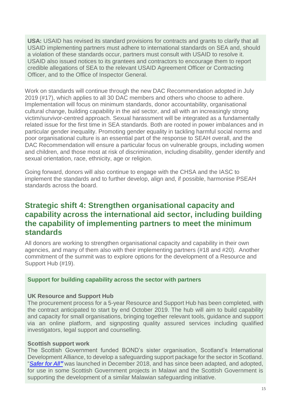**USA:** USAID has revised its standard provisions for contracts and grants to clarify that all USAID implementing partners must adhere to international standards on SEA and, should a violation of these standards occur, partners must consult with USAID to resolve it. USAID also issued notices to its grantees and contractors to encourage them to report credible allegations of SEA to the relevant USAID Agreement Officer or Contracting Officer, and to the Office of Inspector General.

Work on standards will continue through the new DAC Recommendation adopted in July 2019 (#17), which applies to all 30 DAC members and others who choose to adhere. Implementation will focus on minimum standards, donor accountability, organisational cultural change, building capability in the aid sector, and all with an increasingly strong victim/survivor-centred approach. Sexual harassment will be integrated as a fundamentally related issue for the first time in SEA standards. Both are rooted in power imbalances and in particular gender inequality. Promoting gender equality in tackling harmful social norms and poor organisational culture is an essential part of the response to SEAH overall, and the DAC Recommendation will ensure a particular focus on vulnerable groups, including women and children, and those most at risk of discrimination, including disability, gender identify and sexual orientation, race, ethnicity, age or religion.

Going forward, donors will also continue to engage with the CHSA and the IASC to implement the standards and to further develop, align and, if possible, harmonise PSEAH standards across the board.

## **Strategic shift 4: Strengthen organisational capacity and capability across the international aid sector, including building the capability of implementing partners to meet the minimum standards**

All donors are working to strengthen organisational capacity and capability in their own agencies, and many of them also with their implementing partners (#18 and #20). Another commitment of the summit was to explore options for the development of a Resource and Support Hub (#19).

### **Support for building capability across the sector with partners**

### **UK Resource and Support Hub**

The procurement process for a 5-year Resource and Support Hub has been completed, with the contract anticipated to start by end October 2019. The hub will aim to build capability and capacity for small organisations, bringing together relevant tools, guidance and support via an online platform, and signposting quality assured services including qualified investigators, legal support and counselling.

#### **Scottish support work**

The Scottish Government funded BOND's sister organisation, Scotland's International Development Alliance, to develop a safeguarding support package for the sector in Scotland. "*[Safer for All](https://www.intdevalliance.scot/how-we-help/safeguarding)"* was launched in December 2018, and has since been adapted, and adopted, for use in some Scottish Government projects in Malawi and the Scottish Government is supporting the development of a similar Malawian safeguarding initiative.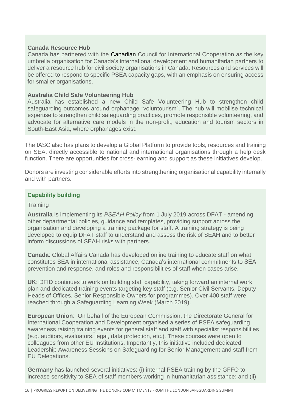### **Canada Resource Hub**

Canada has partnered with the Canadian Council for International Cooperation as the key umbrella organisation for Canada's international development and humanitarian partners to deliver a resource hub for civil society organisations in Canada. Resources and services will be offered to respond to specific PSEA capacity gaps, with an emphasis on ensuring access for smaller organisations.

#### **Australia Child Safe Volunteering Hub**

Australia has established a new Child Safe Volunteering Hub to strengthen child safeguarding outcomes around orphanage "voluntourism". The hub will mobilise technical expertise to strengthen child safeguarding practices, promote responsible volunteering, and advocate for alternative care models in the non-profit, education and tourism sectors in South-East Asia, where orphanages exist.

The IASC also has plans to develop a Global Platform to provide tools, resources and training on SEA, directly accessible to national and international organisations through a help desk function. There are opportunities for cross-learning and support as these initiatives develop.

Donors are investing considerable efforts into strengthening organisational capability internally and with partners.

## **Capability building**

#### **Training**

**Australia** is implementing its *PSEAH Policy* from 1 July 2019 across DFAT - amending other departmental policies, guidance and templates, providing support across the organisation and developing a training package for staff. A training strategy is being developed to equip DFAT staff to understand and assess the risk of SEAH and to better inform discussions of SEAH risks with partners.

**Canada**: Global Affairs Canada has developed online training to educate staff on what constitutes SEA in international assistance, Canada's international commitments to SEA prevention and response, and roles and responsibilities of staff when cases arise.

**UK**: DFID continues to work on building staff capability, taking forward an internal work plan and dedicated training events targeting key staff (e.g. Senior Civil Servants, Deputy Heads of Offices, Senior Responsible Owners for programmes). Over 400 staff were reached through a Safeguarding Learning Week (March 2019).

**European Union**: On behalf of the European Commission, the Directorate General for International Cooperation and Development organised a series of PSEA safeguarding awareness raising training events for general staff and staff with specialist responsibilities (e.g. auditors, evaluators, legal, data protection, etc.). These courses were open to colleagues from other EU Institutions. Importantly, this initiative included dedicated Leadership Awareness Sessions on Safeguarding for Senior Management and staff from EU Delegations.

**Germany** has launched several initiatives: (i) internal PSEA training by the GFFO to increase sensitivity to SEA of staff members working in humanitarian assistance; and (ii)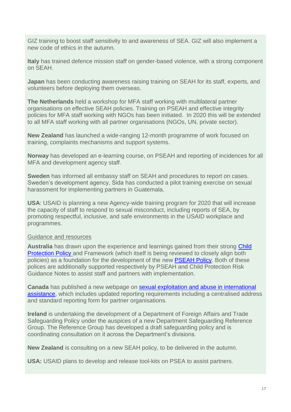GIZ training to boost staff sensitivity to and awareness of SEA. GIZ will also implement a new code of ethics in the autumn.

**Italy** has trained defence mission staff on gender-based violence, with a strong component on SEAH.

**Japan** has been conducting awareness raising training on SEAH for its staff, experts, and volunteers before deploying them overseas.

**The Netherlands** held a workshop for MFA staff working with multilateral partner organisations on effective SEAH policies. Training on PSEAH and effective integrity policies for MFA staff working with NGOs has been initiated. In 2020 this will be extended to all MFA staff working with all partner organisations (NGOs, UN, private sector).

**New Zealand** has launched a wide-ranging 12-month programme of work focused on training, complaints mechanisms and support systems.

**Norway** has developed an e-learning course, on PSEAH and reporting of incidences for all MFA and development agency staff.

**Sweden** has informed all embassy staff on SEAH and procedures to report on cases. Sweden's development agency, Sida has conducted a pilot training exercise on sexual harassment for implementing partners in Guatemala.

**USA**: USAID is planning a new Agency-wide training program for 2020 that will increase the capacity of staff to respond to sexual misconduct, including reports of SEA, by promoting respectful, inclusive, and safe environments in the USAID workplace and programmes.

### Guidance and resources

**Australia** has drawn upon the experience and learnings gained from their strong [Child](https://dfat.gov.au/international-relations/themes/child-protection/Documents/child-protection-policy.pdf)  [Protection Policy](https://dfat.gov.au/international-relations/themes/child-protection/Documents/child-protection-policy.pdf) and Framework (which itself is being reviewed to closely align both policies) as a foundation for the development of the new [PSEAH Policy.](https://dfat.gov.au/international-relations/themes/preventing-sexual-exploitation-abuse-and-harassment/Documents/pseah-policy.pdf) Both of these polices are additionally supported respectively by PSEAH and Child Protection Risk Guidance Notes to assist staff and partners with implementation.

**Canada** has published a new webpage on [sexual exploitation and abuse in international](https://international.gc.ca/world-monde/issues_development-enjeux_developpement/sexual_exploitation-exploitation_sexuels/index.aspx?lang=eng)  [assistance,](https://international.gc.ca/world-monde/issues_development-enjeux_developpement/sexual_exploitation-exploitation_sexuels/index.aspx?lang=eng) which includes updated reporting requirements including a centralised address and standard reporting form for partner organisations.

**Ireland** is undertaking the development of a Department of Foreign Affairs and Trade Safeguarding Policy under the auspices of a new Department Safeguarding Reference Group. The Reference Group has developed a draft safeguarding policy and is coordinating consultation on it across the Department's divisions.

**New Zealand** is consulting on a new SEAH policy, to be delivered in the autumn.

**USA:** USAID plans to develop and release tool-kits on PSEA to assist partners.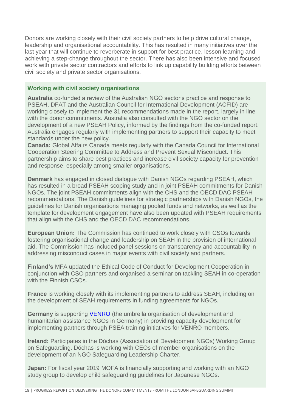Donors are working closely with their civil society partners to help drive cultural change, leadership and organisational accountability. This has resulted in many initiatives over the last year that will continue to reverberate in support for best practice, lesson learning and achieving a step-change throughout the sector. There has also been intensive and focused work with private sector contractors and efforts to link up capability building efforts between civil society and private sector organisations.

## **Working with civil society organisations**

**Australia** co-funded a review of the Australian NGO sector's practice and response to PSEAH. DFAT and the Australian Council for International Development (ACFID) are working closely to implement the 31 recommendations made in the report, largely in line with the donor commitments. Australia also consulted with the NGO sector on the development of a new PSEAH Policy, informed by the findings from the co-funded report. Australia engages regularly with implementing partners to support their capacity to meet standards under the new policy.

**Canada:** Global Affairs Canada meets regularly with the Canada Council for International Cooperation Steering Committee to Address and Prevent Sexual Misconduct. This partnership aims to share best practices and increase civil society capacity for prevention and response, especially among smaller organisations.

**Denmark** has engaged in closed dialogue with Danish NGOs regarding PSEAH, which has resulted in a broad PSEAH scoping study and in joint PSEAH commitments for Danish NGOs. The joint PSEAH commitments align with the CHS and the OECD DAC PSEAH recommendations. The Danish guidelines for strategic partnerships with Danish NGOs, the guidelines for Danish organisations managing pooled funds and networks, as well as the template for development engagement have also been updated with PSEAH requirements that align with the CHS and the OECD DAC recommendations.

**European Union:** The Commission has continued to work closely with CSOs towards fostering organisational change and leadership on SEAH in the provision of international aid. The Commission has included panel sessions on transparency and accountability in addressing misconduct cases in major events with civil society and partners.

**Finland's** MFA updated the Ethical Code of Conduct for Development Cooperation in conjunction with CSO partners and organised a seminar on tackling SEAH in co-operation with the Finnish CSOs.

**France** is working closely with its implementing partners to address SEAH, including on the development of SEAH requirements in funding agreements for NGOs.

**Germany** is supporting [VENRO](https://venro.org/english/who-we-are/) (the umbrella organisation of development and humanitarian assistance NGOs in Germany) in providing capacity development for implementing partners through PSEA training initiatives for VENRO members.

**Ireland:** Participates in the Dóchas (Association of Development NGOs) Working Group on Safeguarding. Dóchas is working with CEOs of member organisations on the development of an NGO Safeguarding Leadership Charter.

**Japan:** For fiscal year 2019 MOFA is financially supporting and working with an NGO study group to develop child safeguarding guidelines for Japanese NGOs.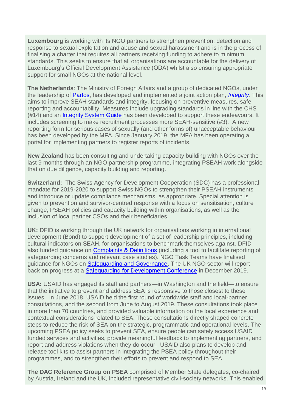**Luxembourg** is working with its NGO partners to strengthen prevention, detection and response to sexual exploitation and abuse and sexual harassment and is in the process of finalising a charter that requires all partners receiving funding to adhere to minimum standards. This seeks to ensure that all organisations are accountable for the delivery of Luxembourg's Official Development Assistance (ODA) whilst also ensuring appropriate support for small NGOs at the national level.

**The Netherlands**: The Ministry of Foreign Affairs and a group of dedicated NGOs, under the leadership of [Partos,](https://www.partos.nl/fileadmin/files/Images/Integriteit/24905_GDN_PARTOS_HANDREIKING_UK_DEF.pdf) has developed and implemented a joint action plan, *[Integrity](https://partos.nl/en/actueel/nieuws/artikel/news/newsletter-integrity/)*. This aims to improve SEAH standards and integrity, focusing on preventive measures, safe reporting and accountability. Measures include upgrading standards in line with the CHS (#14) and an [Integrity System Guide](https://www.partos.nl/fileadmin/files/Images/Integriteit/24905_GDN_PARTOS_HANDREIKING_UK_DEF.pdf) has been developed to support these endeavours. It includes screening to make recruitment processes more SEAH-sensitive (#3). A new reporting form for serious cases of sexually (and other forms of) unacceptable behaviour has been developed by the MFA. Since January 2019, the MFA has been operating a portal for implementing partners to register reports of incidents.

**New Zealand** has been consulting and undertaking capacity building with NGOs over the last 9 months through an NGO partnership programme, integrating PSEAH work alongside that on due diligence, capacity building and reporting.

**Switzerland:** The Swiss Agency for Development Cooperation (SDC) has a professional mandate for 2019-2020 to support Swiss NGOs to strengthen their PSEAH instruments and introduce or update compliance mechanisms, as appropriate. Special attention is given to prevention and survivor-centred response with a focus on sensitisation, culture change, PSEAH policies and capacity building within organisations, as well as the inclusion of local partner CSOs and their beneficiaries.

**UK:** DFID is working through the UK network for organisations working in international development (Bond) to support development of a set of leadership principles, including cultural indicators on SEAH, for organisations to benchmark themselves against. DFID also funded guidance on **Complaints & Definitions** (including a tool to facilitate reporting of safeguarding concerns and relevant case studies). NGO Task Teams have finalised guidance for NGOs on [Safeguarding and Governance.](https://eur02.safelinks.protection.outlook.com/?url=https%3A%2F%2Fwww.bond.org.uk%2Fsites%2Fdefault%2Ffiles%2Fresource-documents%2Fgood_governance_for_safeguarding.pdf&data=02%7C01%7Cms-thompson%40dfid.gov.uk%7C6e0e42a3af704a3df67108d7379797fd%7Ccdf709af1a184c74bd936d14a64d73b3%7C0%7C0%7C637038996530034993&sdata=GXjl9qsna1B%2FZUcEgoq4OBhzepIfMZMyMQk8MxUZGKQ%3D&reserved=0) The UK NGO sector will report back on progress at a [Safeguarding for Development Conference](https://www.bond.org.uk/events/safeguarding-for-development-conference) in December 2019.

**USA:** USAID has engaged its staff and partners—in Washington and the field—to ensure that the initiative to prevent and address SEA is responsive to those closest to these issues. In June 2018, USAID held the first round of worldwide staff and local-partner consultations, and the second from June to August 2019. These consultations took place in more than 70 countries, and provided valuable information on the local experience and contextual considerations related to SEA. These consultations directly shaped concrete steps to reduce the risk of SEA on the strategic, programmatic and operational levels. The upcoming PSEA policy seeks to prevent SEA, ensure people can safely access USAID funded services and activities, provide meaningful feedback to implementing partners, and report and address violations when they do occur. USAID also plans to develop and release tool kits to assist partners in integrating the PSEA policy throughout their programmes, and to strengthen their efforts to prevent and respond to SEA.

**The DAC Reference Group on PSEA** comprised of Member State delegates, co-chaired by Austria, Ireland and the UK, included representative civil-society networks. This enabled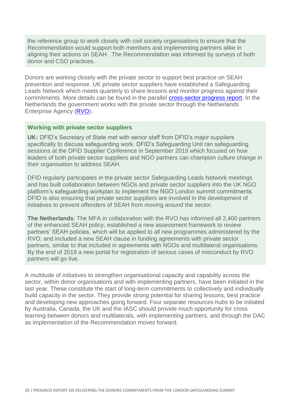the reference group to work closely with civil society organisations to ensure that the Recommendation would support both members and implementing partners alike in aligning their actions on SEAH. The Recommendation was informed by surveys of both donor and CSO practices.

Donors are working closely with the private sector to support best practice on SEAH prevention and response. UK private sector suppliers have established a Safeguarding Leads Network which meets quarterly to share lessons and monitor progress against their commitments. More details can be found in the parallel **cross-sector progress report**. In the Netherlands the government works with the private sector through the Netherlands Enterprise Agency [\(RVO\)](https://english.rvo.nl/).

### **Working with private sector suppliers**

**UK:** DFID's Secretary of State met with senior staff from DFID's major suppliers specifically to discuss safeguarding work. DFID's Safeguarding Unit ran safeguarding sessions at the DFID Supplier Conference in September 2019 which focused on how leaders of both private sector suppliers and NGO partners can champion culture change in their organisation to address SEAH.

DFID regularly participates in the private sector Safeguarding Leads Network meetings and has built collaboration between NGOs and private sector suppliers into the UK NGO platform's safeguarding workplan to implement the NGO London summit commitments. DFID is also ensuring that private sector suppliers are involved in the development of initiatives to prevent offenders of SEAH from moving around the sector.

**The Netherlands**: The MFA in collaboration with the RVO has informed all 2,400 partners of the enhanced SEAH policy; established a new assessment framework to review partners' SEAH policies, which will be applied to all new programmes administered by the RVO; and included a new SEAH clause in funding agreements with private sector partners, similar to that included in agreements with NGOs and multilateral organisations. By the end of 2019 a new portal for registration of serious cases of misconduct by RVO partners will go live.

A multitude of initiatives to strengthen organisational capacity and capability across the sector, within donor organisations and with implementing partners, have been initiated in the last year. These constitute the start of long-term commitments to collectively and individually build capacity in the sector. They provide strong potential for sharing lessons, best practice and developing new approaches going forward. Four separate resources hubs to be initiated by Australia, Canada, the UK and the IASC should provide much opportunity for cross learning between donors and multilaterals, with implementing partners, and through the DAC as implementation of the Recommendation moves forward.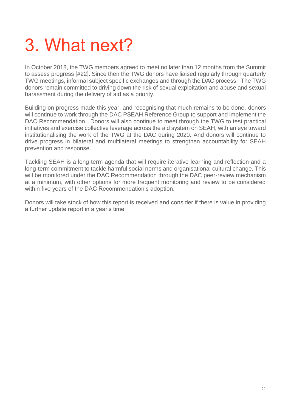# 3. What next?

In October 2018, the TWG members agreed to meet no later than 12 months from the Summit to assess progress [#22]. Since then the TWG donors have liaised regularly through quarterly TWG meetings, informal subject specific exchanges and through the DAC process. The TWG donors remain committed to driving down the risk of sexual exploitation and abuse and sexual harassment during the delivery of aid as a priority.

Building on progress made this year, and recognising that much remains to be done, donors will continue to work through the DAC PSEAH Reference Group to support and implement the DAC Recommendation. Donors will also continue to meet through the TWG to test practical initiatives and exercise collective leverage across the aid system on SEAH, with an eye toward institutionalising the work of the TWG at the DAC during 2020. And donors will continue to drive progress in bilateral and multilateral meetings to strengthen accountability for SEAH prevention and response.

Tackling SEAH is a long-term agenda that will require iterative learning and reflection and a long-term commitment to tackle harmful social norms and organisational cultural change. This will be monitored under the DAC Recommendation through the DAC peer-review mechanism at a minimum, with other options for more frequent monitoring and review to be considered within five years of the DAC Recommendation's adoption.

Donors will take stock of how this report is received and consider if there is value in providing a further update report in a year's time.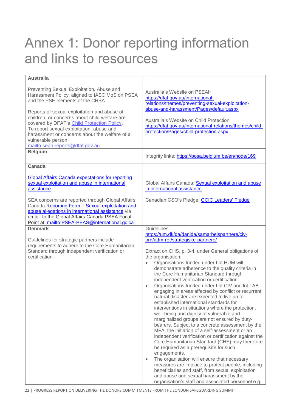## Annex 1: Donor reporting information and links to resources

| <b>Australia</b>                                                                                                                                                                                                                                                                                                                                                                                                                    |                                                                                                                                                                                                                                                                                                                                                                                                                                                                                                                                                                                                                                                                                                                                                                                                                                                                                                                                                                                                                                                                                                                                                                                                                                                                                                        |
|-------------------------------------------------------------------------------------------------------------------------------------------------------------------------------------------------------------------------------------------------------------------------------------------------------------------------------------------------------------------------------------------------------------------------------------|--------------------------------------------------------------------------------------------------------------------------------------------------------------------------------------------------------------------------------------------------------------------------------------------------------------------------------------------------------------------------------------------------------------------------------------------------------------------------------------------------------------------------------------------------------------------------------------------------------------------------------------------------------------------------------------------------------------------------------------------------------------------------------------------------------------------------------------------------------------------------------------------------------------------------------------------------------------------------------------------------------------------------------------------------------------------------------------------------------------------------------------------------------------------------------------------------------------------------------------------------------------------------------------------------------|
| Preventing Sexual Exploitation, Abuse and<br>Harassment Policy, aligned to IASC MoS on PSEA<br>and the PSE elements of the CHSA<br>Reports of sexual exploitation and abuse of<br>children, or concerns about child welfare are<br>covered by DFAT's Child Protection Policy.<br>To report sexual exploitation, abuse and<br>harassment or concerns about the welfare of a<br>vulnerable person:<br>mailto:seah.reports@dfat.gov.au | Australia's Website on PSEAH<br>https://dfat.gov.au/international-<br>relations/themes/preventing-sexual-exploitation-<br>abuse-and-harassment/Pages/default.aspx<br>Australia's Website on Child Protection<br>https://dfat.gov.au/international-relations/themes/child-<br>protection/Pages/child-protection.aspx                                                                                                                                                                                                                                                                                                                                                                                                                                                                                                                                                                                                                                                                                                                                                                                                                                                                                                                                                                                    |
| <b>Belgium</b>                                                                                                                                                                                                                                                                                                                                                                                                                      | Integrity links: https://bosa.belgium.be/en/node/169                                                                                                                                                                                                                                                                                                                                                                                                                                                                                                                                                                                                                                                                                                                                                                                                                                                                                                                                                                                                                                                                                                                                                                                                                                                   |
| <b>Canada</b><br><b>Global Affairs Canada expectations for reporting</b><br>sexual exploitation and abuse in international<br>assistance                                                                                                                                                                                                                                                                                            | Global Affairs Canada: Sexual exploitation and abuse<br>in international assistance                                                                                                                                                                                                                                                                                                                                                                                                                                                                                                                                                                                                                                                                                                                                                                                                                                                                                                                                                                                                                                                                                                                                                                                                                    |
| SEA concerns are reported through Global Affairs<br>Canada Reporting Form - Sexual exploitation and<br>abuse allegations in international assistance via<br>email to the Global Affairs Canada PSEA Focal<br>Point at: mailto:PSEA-PEAS@international.gc.ca                                                                                                                                                                         | Canadian CSO's Pledge: CCIC Leaders' Pledge                                                                                                                                                                                                                                                                                                                                                                                                                                                                                                                                                                                                                                                                                                                                                                                                                                                                                                                                                                                                                                                                                                                                                                                                                                                            |
| <b>Denmark</b><br>Guidelines for strategic partners include<br>requirements to adhere to the Core Humanitarian<br>Standard through independent verification or<br>certification.                                                                                                                                                                                                                                                    | Guidelines:<br>https://um.dk/da/danida/samarbejspartnere/civ-<br>org/adm-ret/strategiske-partnere/<br>Extract on CHS, p. 3-4, under General obligations of<br>the organisation:<br>Organisations funded under Lot HUM will<br>$\bullet$<br>demonstrate adherence to the quality criteria in<br>the Core Humanitarian Standard through<br>independent verification or certification.<br>Organisations funded under Lot CIV and lot LAB<br>$\bullet$<br>engaging in areas affected by conflict or recurrent<br>natural disaster are expected to live up to<br>established international standards for<br>interventions in situations where the protection,<br>well-being and dignity of vulnerable and<br>marginalized groups are not ensured by duty-<br>bearers. Subject to a concrete assessment by the<br>MFA, the initiation of a self-assessment or an<br>independent verification or certification against the<br>Core Humanitarian Standard (CHS) may therefore<br>be required as a prerequisite for such<br>engagements.<br>The organisation will ensure that necessary<br>$\bullet$<br>measures are in place to protect people, including<br>beneficiaries and staff, from sexual exploitation<br>and abuse and sexual harassment by the<br>organisation's staff and associated personnel e.g. |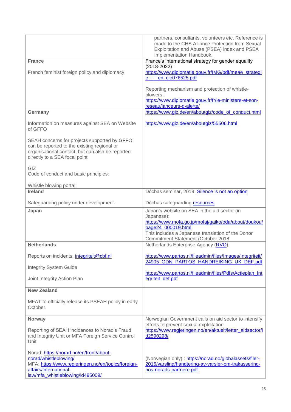|                                                                                                                                                                                      | partners, consultants, volunteers etc. Reference is<br>made to the CHS Alliance Protection from Sexual<br>Exploitation and Abuse (PSEA) index and PSEA<br>Implementation Handbook.                                                  |
|--------------------------------------------------------------------------------------------------------------------------------------------------------------------------------------|-------------------------------------------------------------------------------------------------------------------------------------------------------------------------------------------------------------------------------------|
| <b>France</b>                                                                                                                                                                        | France's international strategy for gender equality                                                                                                                                                                                 |
| French feminist foreign policy and diplomacy                                                                                                                                         | $(2018 - 2022)$ :<br>https://www.diplomatie.gouv.fr/IMG/pdf/meae_strategi<br>e_-_en_cle076525.pdf                                                                                                                                   |
|                                                                                                                                                                                      | Reporting mechanism and protection of whistle-<br>blowers:<br>https://www.diplomatie.gouv.fr/fr/le-ministere-et-son-<br>reseau/lanceurs-d-alerte/                                                                                   |
| Germany                                                                                                                                                                              | https://www.giz.de/en/aboutgiz/code_of_conduct.html                                                                                                                                                                                 |
| Information on measures against SEA on Website<br>of GFFO                                                                                                                            | https://www.giz.de/en/aboutgiz/55506.html                                                                                                                                                                                           |
| SEAH concerns for projects supported by GFFO<br>can be reported to the existing regional or<br>organisational contact, but can also be reported<br>directly to a SEA focal point     |                                                                                                                                                                                                                                     |
| GIZ<br>Code of conduct and basic principles:                                                                                                                                         |                                                                                                                                                                                                                                     |
| Whistle blowing portal:                                                                                                                                                              |                                                                                                                                                                                                                                     |
| <b>Ireland</b>                                                                                                                                                                       | Dóchas seminar, 2019: Silence is not an option                                                                                                                                                                                      |
| Safeguarding policy under development.                                                                                                                                               | Dóchas safeguarding resources                                                                                                                                                                                                       |
| Japan                                                                                                                                                                                | Japan's website on SEA in the aid sector (in<br>Japanese):<br>https://www.mofa.go.jp/mofaj/gaiko/oda/about/doukou/<br>page24 000019.html<br>This includes a Japanese translation of the Donor<br>Commitment Statement (October 2018 |
| <b>Netherlands</b>                                                                                                                                                                   | Netherlands Enterprise Agency (RVO).                                                                                                                                                                                                |
| Reports on incidents: integriteit@cbf.nl                                                                                                                                             | https://www.partos.nl/fileadmin/files/Images/Integriteit/<br>24905 GDN PARTOS HANDREIKING UK DEF.pdf                                                                                                                                |
| <b>Integrity System Guide</b>                                                                                                                                                        |                                                                                                                                                                                                                                     |
| Joint Integrity Action Plan                                                                                                                                                          | https://www.partos.nl/fileadmin/files/Pdfs/Actieplan_Int<br>egriteit_def.pdf                                                                                                                                                        |
| <b>New Zealand</b>                                                                                                                                                                   |                                                                                                                                                                                                                                     |
| MFAT to officially release its PSEAH policy in early<br>October.                                                                                                                     |                                                                                                                                                                                                                                     |
| <b>Norway</b>                                                                                                                                                                        | Norwegian Government calls on aid sector to intensify                                                                                                                                                                               |
| Reporting of SEAH incidences to Norad's Fraud<br>and Integrity Unit or MFA Foreign Service Control<br>Unit.                                                                          | efforts to prevent sexual exploitation<br>https://www.regjeringen.no/en/aktuelt/letter_aidsector/i<br>d2590298/                                                                                                                     |
| Norad: https://norad.no/en/front/about-<br>norad/whistleblowing/<br>MFA: https://www.regjeringen.no/en/topics/foreign-<br>affairs/international-<br>law/mfa_whistleblowing/id495009/ | (Norwegian only): https://norad.no/globalassets/filer-<br>2015/varsling/handtering-av-varsler-om-trakassering-<br>hos-norads-partnere.pdf                                                                                           |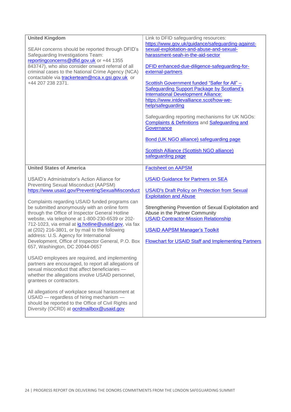| <b>United Kingdom</b><br>SEAH concerns should be reported through DFID's<br>Safeguarding Investigations Team:<br>reporting concerns @ dfid.gov.uk or +44 1355<br>843747), who also consider onward referral of all<br>criminal cases to the National Crime Agency (NCA)<br>contactable via trackerteam@nca.x.gsi.gov.uk or<br>+44 207 238 2371.                                                                                                                                                                                                                                              | Link to DFID safeguarding resources:<br>https://www.gov.uk/guidance/safeguarding-against-<br>sexual-exploitation-and-abuse-and-sexual-<br>harassment-seah-in-the-aid-sector<br>DFID enhanced-due-diligence-safeguarding-for-<br>external-partners<br>Scottish Government funded "Safer for All" -<br><b>Safeguarding Support Package by Scotland's</b><br><b>International Development Alliance:</b><br>https://www.intdevalliance.scot/how-we-<br>help/safeguarding<br>Safeguarding reporting mechanisms for UK NGOs:<br>Complaints & Definitions and Safeguarding and<br>Governance<br>Bond (UK NGO alliance) safeguarding page<br>Scottish Alliance (Scottish NGO alliance)<br>safeguarding page |
|----------------------------------------------------------------------------------------------------------------------------------------------------------------------------------------------------------------------------------------------------------------------------------------------------------------------------------------------------------------------------------------------------------------------------------------------------------------------------------------------------------------------------------------------------------------------------------------------|-----------------------------------------------------------------------------------------------------------------------------------------------------------------------------------------------------------------------------------------------------------------------------------------------------------------------------------------------------------------------------------------------------------------------------------------------------------------------------------------------------------------------------------------------------------------------------------------------------------------------------------------------------------------------------------------------------|
| <b>United States of America</b>                                                                                                                                                                                                                                                                                                                                                                                                                                                                                                                                                              | <b>Factsheet on AAPSM</b>                                                                                                                                                                                                                                                                                                                                                                                                                                                                                                                                                                                                                                                                           |
| USAID's Administrator's Action Alliance for<br>Preventing Sexual Misconduct (AAPSM)<br>https://www.usaid.gov/PreventingSexualMisconduct<br>Complaints regarding USAID funded programs can<br>be submitted anonymously with an online form<br>through the Office of Inspector General Hotline<br>website, via telephone at 1-800-230-6539 or 202-<br>712-1023, via email at ig.hotline@usaid.gov, via fax<br>at (202) 216-3801, or by mail to the following<br>address: U.S. Agency for International<br>Development, Office of Inspector General, P.O. Box<br>657, Washington, DC 20044-0657 | <b>USAID Guidance for Partners on SEA</b><br><b>USAID's Draft Policy on Protection from Sexual</b><br><b>Exploitation and Abuse</b><br>Strengthening Prevention of Sexual Exploitation and<br>Abuse in the Partner Community<br><b>USAID Contractor-Mission Relationship</b><br><b>USAID AAPSM Manager's Toolkit</b><br><b>Flowchart for USAID Staff and Implementing Partners</b>                                                                                                                                                                                                                                                                                                                  |
| USAID employees are required, and implementing<br>partners are encouraged, to report all allegations of<br>sexual misconduct that affect beneficiaries -<br>whether the allegations involve USAID personnel,<br>grantees or contractors.                                                                                                                                                                                                                                                                                                                                                     |                                                                                                                                                                                                                                                                                                                                                                                                                                                                                                                                                                                                                                                                                                     |
| All allegations of workplace sexual harassment at<br>USAID - regardless of hiring mechanism -<br>should be reported to the Office of Civil Rights and<br>Diversity (OCRD) at <b>ocrdmailbox@usaid.gov</b>                                                                                                                                                                                                                                                                                                                                                                                    |                                                                                                                                                                                                                                                                                                                                                                                                                                                                                                                                                                                                                                                                                                     |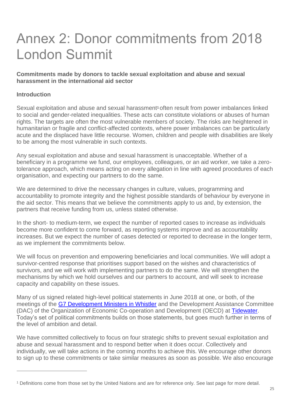## Annex 2: Donor commitments from 2018 London Summit

## **Commitments made by donors to tackle sexual exploitation and abuse and sexual harassment in the international aid sector**

## **Introduction**

 $\overline{a}$ 

Sexual exploitation and abuse and sexual harassment<sup>1</sup> often result from power imbalances linked to social and gender-related inequalities. These acts can constitute violations or abuses of human rights. The targets are often the most vulnerable members of society. The risks are heightened in humanitarian or fragile and conflict-affected contexts, where power imbalances can be particularly acute and the displaced have little recourse. Women, children and people with disabilities are likely to be among the most vulnerable in such contexts.

Any sexual exploitation and abuse and sexual harassment is unacceptable. Whether of a beneficiary in a programme we fund, our employees, colleagues, or an aid worker, we take a zerotolerance approach, which means acting on every allegation in line with agreed procedures of each organisation, and expecting our partners to do the same.

We are determined to drive the necessary changes in culture, values, programming and accountability to promote integrity and the highest possible standards of behaviour by everyone in the aid sector. This means that we believe the commitments apply to us and, by extension, the partners that receive funding from us, unless stated otherwise.

In the short- to medium-term, we expect the number of reported cases to increase as individuals become more confident to come forward, as reporting systems improve and as accountability increases. But we expect the number of cases detected or reported to decrease in the longer term, as we implement the commitments below.

We will focus on prevention and empowering beneficiaries and local communities. We will adopt a survivor-centred response that prioritises support based on the wishes and characteristics of survivors, and we will work with implementing partners to do the same. We will strengthen the mechanisms by which we hold ourselves and our partners to account, and will seek to increase capacity and capability on these issues.

Many of us signed related high-level political statements in June 2018 at one, or both, of the meetings of the [G7 Development Ministers in Whistler](https://www.international.gc.ca/world-monde/assets/pdfs/international_relations-relations_internationales/g7/2018-05-31-whistler-sexual-exploitation-sexuelle-en.pdf) and the Development Assistance Committee (DAC) of the Organization of Economic Co-operation and Development (OECD) at [Tidewater.](http://www.oecd.org/dac/Tidewater-Joint-Statement-on-Combating-Sexual-Exploitation-and-Abuse.pdf) Today's set of political commitments builds on those statements, but goes much further in terms of the level of ambition and detail.

We have committed collectively to focus on four strategic shifts to prevent sexual exploitation and abuse and sexual harassment and to respond better when it does occur. Collectively and individually, we will take actions in the coming months to achieve this. We encourage other donors to sign up to these commitments or take similar measures as soon as possible. We also encourage

<sup>1</sup> Definitions come from those set by the United Nations and are for reference only. See last page for more detail.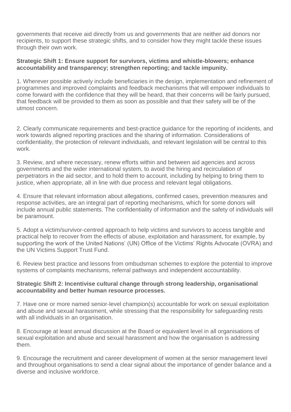governments that receive aid directly from us and governments that are neither aid donors nor recipients, to support these strategic shifts, and to consider how they might tackle these issues through their own work.

## **Strategic Shift 1: Ensure support for survivors, victims and whistle-blowers; enhance accountability and transparency; strengthen reporting; and tackle impunity.**

1. Wherever possible actively include beneficiaries in the design, implementation and refinement of programmes and improved complaints and feedback mechanisms that will empower individuals to come forward with the confidence that they will be heard, that their concerns will be fairly pursued, that feedback will be provided to them as soon as possible and that their safety will be of the utmost concern.

2. Clearly communicate requirements and best-practice guidance for the reporting of incidents, and work towards aligned reporting practices and the sharing of information. Considerations of confidentiality, the protection of relevant individuals, and relevant legislation will be central to this work.

3. Review, and where necessary, renew efforts within and between aid agencies and across governments and the wider international system, to avoid the hiring and recirculation of perpetrators in the aid sector, and to hold them to account, including by helping to bring them to justice, when appropriate, all in line with due process and relevant legal obligations.

4. Ensure that relevant information about allegations, confirmed cases, prevention measures and response activities, are an integral part of reporting mechanisms, which for some donors will include annual public statements. The confidentiality of information and the safety of individuals will be paramount.

5. Adopt a victim/survivor-centred approach to help victims and survivors to access tangible and practical help to recover from the effects of abuse, exploitation and harassment, for example, by supporting the work of the United Nations' (UN) Office of the Victims' Rights Advocate (OVRA) and the UN Victims Support Trust Fund.

6. Review best practice and lessons from ombudsman schemes to explore the potential to improve systems of complaints mechanisms, referral pathways and independent accountability.

## **Strategic Shift 2: Incentivise cultural change through strong leadership, organisational accountability and better human resource processes.**

7. Have one or more named senior-level champion(s) accountable for work on sexual exploitation and abuse and sexual harassment, while stressing that the responsibility for safeguarding rests with all individuals in an organisation.

8. Encourage at least annual discussion at the Board or equivalent level in all organisations of sexual exploitation and abuse and sexual harassment and how the organisation is addressing them.

9. Encourage the recruitment and career development of women at the senior management level and throughout organisations to send a clear signal about the importance of gender balance and a diverse and inclusive workforce.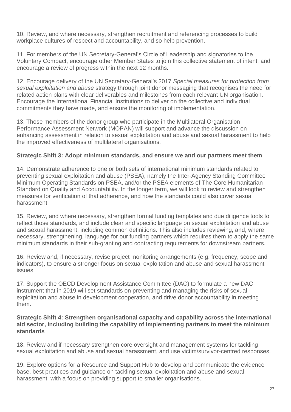10. Review, and where necessary, strengthen recruitment and referencing processes to build workplace cultures of respect and accountability, and so help prevention.

11. For members of the UN Secretary-General's Circle of Leadership and signatories to the Voluntary Compact, encourage other Member States to join this collective statement of intent, and encourage a review of progress within the next 12 months.

12. Encourage delivery of the UN Secretary-General's 2017 *Special measures for protection from sexual exploitation and abuse* strategy through joint donor messaging that recognises the need for related action plans with clear deliverables and milestones from each relevant UN organisation. Encourage the International Financial Institutions to deliver on the collective and individual commitments they have made, and ensure the monitoring of implementation.

13. Those members of the donor group who participate in the Multilateral Organisation Performance Assessment Network (MOPAN) will support and advance the discussion on enhancing assessment in relation to sexual exploitation and abuse and sexual harassment to help the improved effectiveness of multilateral organisations.

## **Strategic Shift 3: Adopt minimum standards, and ensure we and our partners meet them**

14. Demonstrate adherence to one or both sets of international minimum standards related to preventing sexual exploitation and abuse (PSEA), namely the Inter-Agency Standing Committee Minimum Operating Standards on PSEA, and/or the PSEA elements of The Core Humanitarian Standard on Quality and Accountability. In the longer term, we will look to review and strengthen measures for verification of that adherence, and how the standards could also cover sexual harassment.

15. Review, and where necessary, strengthen formal funding templates and due diligence tools to reflect those standards, and include clear and specific language on sexual exploitation and abuse and sexual harassment, including common definitions. This also includes reviewing, and, where necessary, strengthening, language for our funding partners which requires them to apply the same minimum standards in their sub-granting and contracting requirements for downstream partners.

16. Review and, if necessary, revise project monitoring arrangements (e.g. frequency, scope and indicators), to ensure a stronger focus on sexual exploitation and abuse and sexual harassment issues.

17. Support the OECD Development Assistance Committee (DAC) to formulate a new DAC instrument that in 2019 will set standards on preventing and managing the risks of sexual exploitation and abuse in development cooperation, and drive donor accountability in meeting them.

## **Strategic Shift 4: Strengthen organisational capacity and capability across the international aid sector, including building the capability of implementing partners to meet the minimum standards**

18. Review and if necessary strengthen core oversight and management systems for tackling sexual exploitation and abuse and sexual harassment, and use victim/survivor-centred responses.

19. Explore options for a Resource and Support Hub to develop and communicate the evidence base, best practices and guidance on tackling sexual exploitation and abuse and sexual harassment, with a focus on providing support to smaller organisations.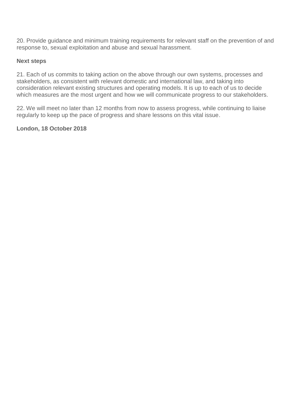20. Provide guidance and minimum training requirements for relevant staff on the prevention of and response to, sexual exploitation and abuse and sexual harassment.

## **Next steps**

21. Each of us commits to taking action on the above through our own systems, processes and stakeholders, as consistent with relevant domestic and international law, and taking into consideration relevant existing structures and operating models. It is up to each of us to decide which measures are the most urgent and how we will communicate progress to our stakeholders.

22. We will meet no later than 12 months from now to assess progress, while continuing to liaise regularly to keep up the pace of progress and share lessons on this vital issue.

## **London, 18 October 2018**